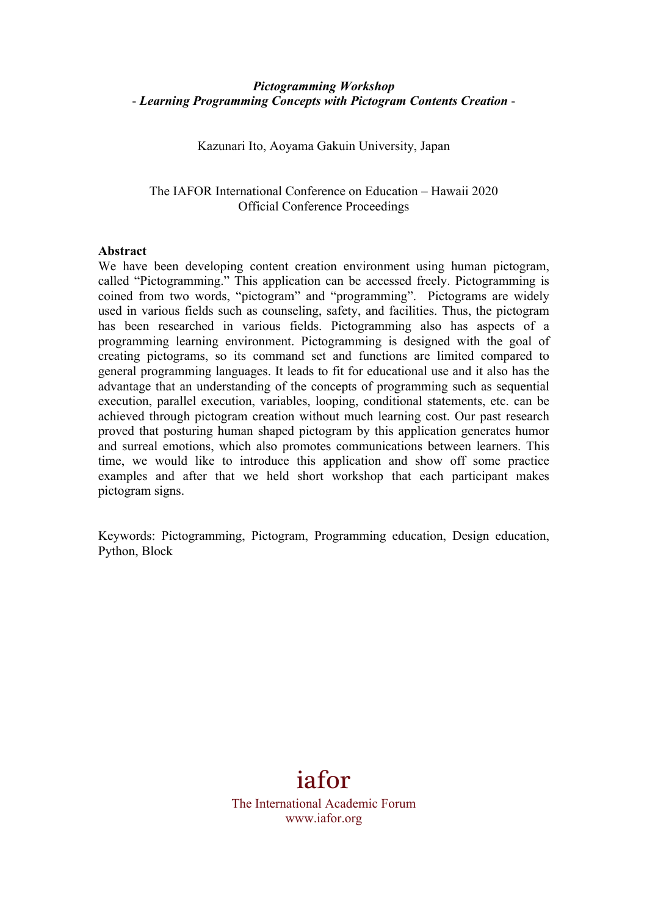### *Pictogramming Workshop* - *Learning Programming Concepts with Pictogram Contents Creation* -

Kazunari Ito, Aoyama Gakuin University, Japan

The IAFOR International Conference on Education – Hawaii 2020 Official Conference Proceedings

#### **Abstract**

We have been developing content creation environment using human pictogram, called "Pictogramming." This application can be accessed freely. Pictogramming is coined from two words, "pictogram" and "programming". Pictograms are widely used in various fields such as counseling, safety, and facilities. Thus, the pictogram has been researched in various fields. Pictogramming also has aspects of a programming learning environment. Pictogramming is designed with the goal of creating pictograms, so its command set and functions are limited compared to general programming languages. It leads to fit for educational use and it also has the advantage that an understanding of the concepts of programming such as sequential execution, parallel execution, variables, looping, conditional statements, etc. can be achieved through pictogram creation without much learning cost. Our past research proved that posturing human shaped pictogram by this application generates humor and surreal emotions, which also promotes communications between learners. This time, we would like to introduce this application and show off some practice examples and after that we held short workshop that each participant makes pictogram signs.

Keywords: Pictogramming, Pictogram, Programming education, Design education, Python, Block

# iafor

The International Academic Forum www.iafor.org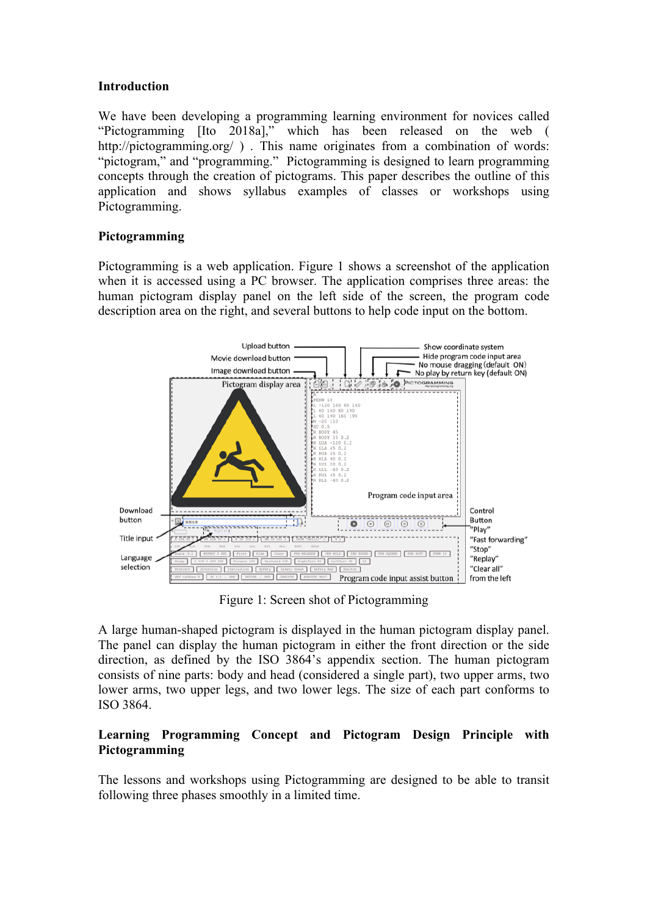### **Introduction**

We have been developing a programming learning environment for novices called "Pictogramming [Ito 2018a]," which has been released on the web ( http://pictogramming.org/). This name originates from a combination of words: "pictogram," and "programming." Pictogramming is designed to learn programming concepts through the creation of pictograms. This paper describes the outline of this application and shows syllabus examples of classes or workshops using Pictogramming.

# **Pictogramming**

Pictogramming is a web application. Figure 1 shows a screenshot of the application when it is accessed using a PC browser. The application comprises three areas: the human pictogram display panel on the left side of the screen, the program code description area on the right, and several buttons to help code input on the bottom.



Figure 1: Screen shot of Pictogramming

A large human-shaped pictogram is displayed in the human pictogram display panel. The panel can display the human pictogram in either the front direction or the side direction, as defined by the ISO 3864's appendix section. The human pictogram consists of nine parts: body and head (considered a single part), two upper arms, two lower arms, two upper legs, and two lower legs. The size of each part conforms to ISO 3864.

# **Learning Programming Concept and Pictogram Design Principle with Pictogramming**

The lessons and workshops using Pictogramming are designed to be able to transit following three phases smoothly in a limited time.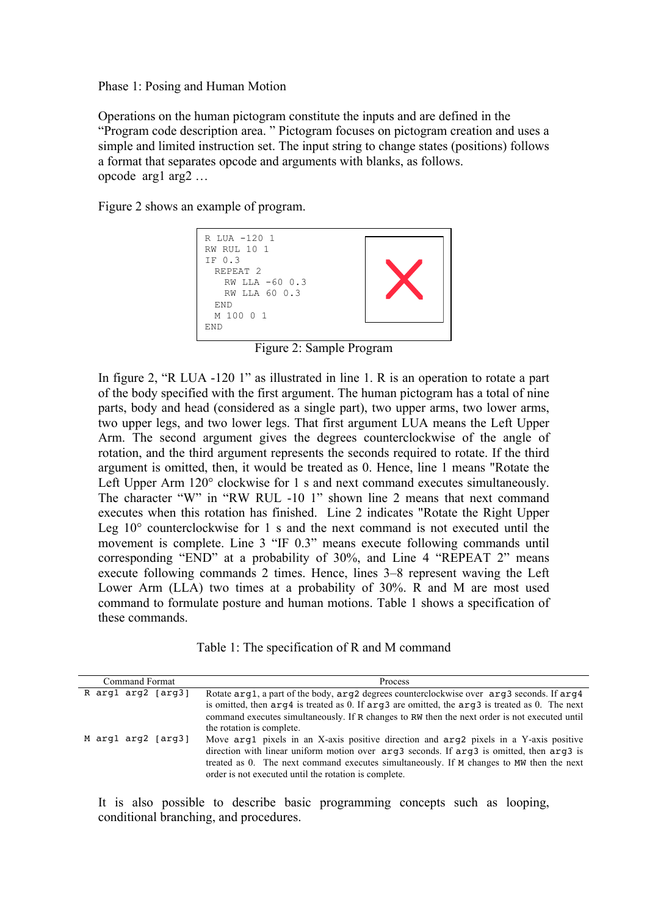#### Phase 1: Posing and Human Motion

Operations on the human pictogram constitute the inputs and are defined in the "Program code description area. " Pictogram focuses on pictogram creation and uses a simple and limited instruction set. The input string to change states (positions) follows a format that separates opcode and arguments with blanks, as follows. opcode arg1 arg2 …

Figure 2 shows an example of program.



Figure 2: Sample Program

In figure 2, "R LUA -120 1" as illustrated in line 1. R is an operation to rotate a part of the body specified with the first argument. The human pictogram has a total of nine parts, body and head (considered as a single part), two upper arms, two lower arms, two upper legs, and two lower legs. That first argument LUA means the Left Upper Arm. The second argument gives the degrees counterclockwise of the angle of rotation, and the third argument represents the seconds required to rotate. If the third argument is omitted, then, it would be treated as 0. Hence, line 1 means "Rotate the Left Upper Arm  $120^{\circ}$  clockwise for 1 s and next command executes simultaneously. The character "W" in "RW RUL -10 1" shown line 2 means that next command executes when this rotation has finished. Line 2 indicates "Rotate the Right Upper Leg 10° counterclockwise for 1 s and the next command is not executed until the movement is complete. Line 3 "IF 0.3" means execute following commands until corresponding "END" at a probability of 30%, and Line 4 "REPEAT 2" means execute following commands 2 times. Hence, lines 3–8 represent waving the Left Lower Arm (LLA) two times at a probability of 30%. R and M are most used command to formulate posture and human motions. Table 1 shows a specification of these commands.

Table 1: The specification of R and M command

| <b>Command Format</b> | Process                                                                                                                                                                                                                                                                                                                                |
|-----------------------|----------------------------------------------------------------------------------------------------------------------------------------------------------------------------------------------------------------------------------------------------------------------------------------------------------------------------------------|
| R argl arg2 [arg3]    | Rotate arg1, a part of the body, arg2 degrees counterclockwise over arg3 seconds. If arg4<br>is omitted, then $arg 4$ is treated as 0. If $arg 3$ are omitted, the $arg 3$ is treated as 0. The next<br>command executes simultaneously. If R changes to RW then the next order is not executed until<br>the rotation is complete.     |
| M argl arg2 [arg3]    | Move arg1 pixels in an X-axis positive direction and arg2 pixels in a Y-axis positive<br>direction with linear uniform motion over arg3 seconds. If arg3 is omitted, then arg3 is<br>treated as 0. The next command executes simultaneously. If M changes to MW then the next<br>order is not executed until the rotation is complete. |

It is also possible to describe basic programming concepts such as looping, conditional branching, and procedures.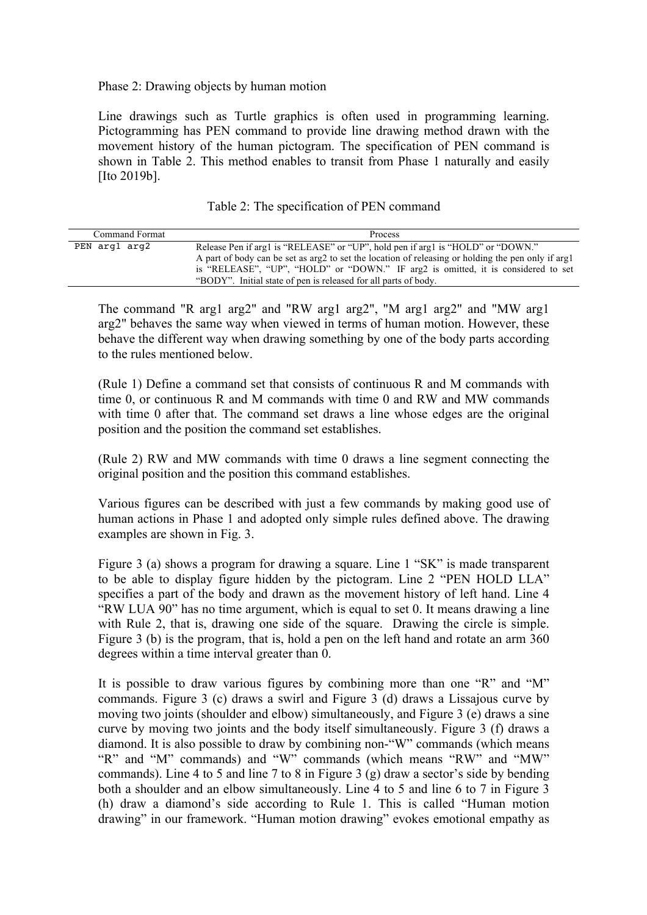Phase 2: Drawing objects by human motion

Line drawings such as Turtle graphics is often used in programming learning. Pictogramming has PEN command to provide line drawing method drawn with the movement history of the human pictogram. The specification of PEN command is shown in Table 2. This method enables to transit from Phase 1 naturally and easily [Ito 2019b].

| Table 2: The specification of PEN command |  |  |  |  |  |
|-------------------------------------------|--|--|--|--|--|
|-------------------------------------------|--|--|--|--|--|

| Command Format | Process                                                                                                                                                                                                                                                                                                                                       |
|----------------|-----------------------------------------------------------------------------------------------------------------------------------------------------------------------------------------------------------------------------------------------------------------------------------------------------------------------------------------------|
| PEN argl arg2  | Release Pen if arg1 is "RELEASE" or "UP", hold pen if arg1 is "HOLD" or "DOWN."<br>A part of body can be set as arg2 to set the location of releasing or holding the pen only if arg1<br>is "RELEASE", "UP", "HOLD" or "DOWN." IF arg2 is omitted, it is considered to set<br>"BODY". Initial state of pen is released for all parts of body. |

The command "R arg1 arg2" and "RW arg1 arg2", "M arg1 arg2" and "MW arg1 arg2" behaves the same way when viewed in terms of human motion. However, these behave the different way when drawing something by one of the body parts according to the rules mentioned below.

(Rule 1) Define a command set that consists of continuous R and M commands with time 0, or continuous R and M commands with time 0 and RW and MW commands with time 0 after that. The command set draws a line whose edges are the original position and the position the command set establishes.

(Rule 2) RW and MW commands with time 0 draws a line segment connecting the original position and the position this command establishes.

Various figures can be described with just a few commands by making good use of human actions in Phase 1 and adopted only simple rules defined above. The drawing examples are shown in Fig. 3.

Figure 3 (a) shows a program for drawing a square. Line 1 "SK" is made transparent to be able to display figure hidden by the pictogram. Line 2 "PEN HOLD LLA" specifies a part of the body and drawn as the movement history of left hand. Line 4 "RW LUA 90" has no time argument, which is equal to set 0. It means drawing a line with Rule 2, that is, drawing one side of the square. Drawing the circle is simple. Figure 3 (b) is the program, that is, hold a pen on the left hand and rotate an arm 360 degrees within a time interval greater than 0.

It is possible to draw various figures by combining more than one "R" and "M" commands. Figure 3 (c) draws a swirl and Figure 3 (d) draws a Lissajous curve by moving two joints (shoulder and elbow) simultaneously, and Figure 3 (e) draws a sine curve by moving two joints and the body itself simultaneously. Figure 3 (f) draws a diamond. It is also possible to draw by combining non-"W" commands (which means "R" and "M" commands) and "W" commands (which means "RW" and "MW" commands). Line 4 to 5 and line 7 to 8 in Figure 3 (g) draw a sector's side by bending both a shoulder and an elbow simultaneously. Line 4 to 5 and line 6 to 7 in Figure 3 (h) draw a diamond's side according to Rule 1. This is called "Human motion drawing" in our framework. "Human motion drawing" evokes emotional empathy as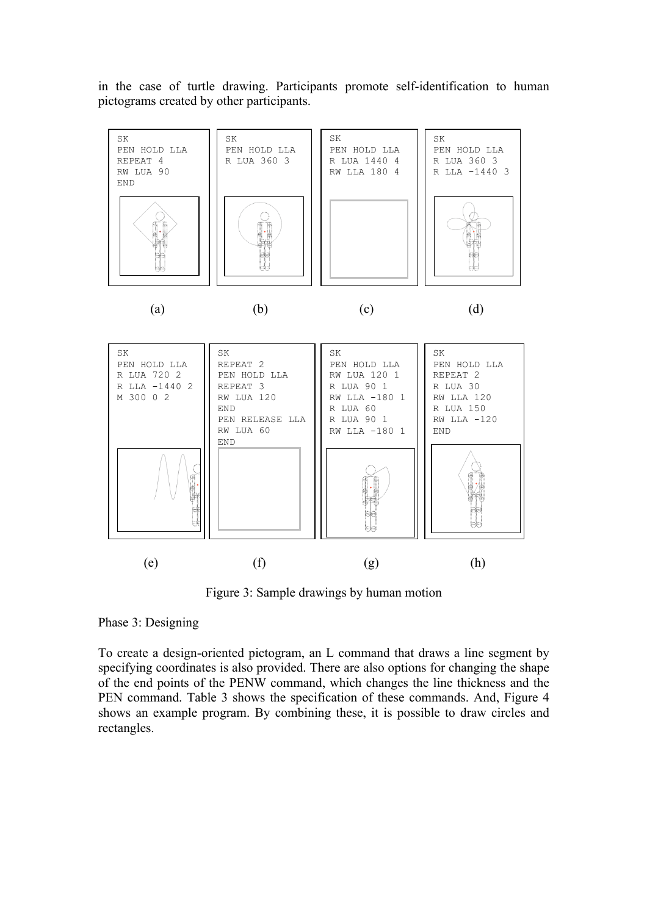in the case of turtle drawing. Participants promote self-identification to human pictograms created by other participants.



Figure 3: Sample drawings by human motion

#### Phase 3: Designing

To create a design-oriented pictogram, an L command that draws a line segment by specifying coordinates is also provided. There are also options for changing the shape of the end points of the PENW command, which changes the line thickness and the PEN command. Table 3 shows the specification of these commands. And, Figure 4 shows an example program. By combining these, it is possible to draw circles and rectangles.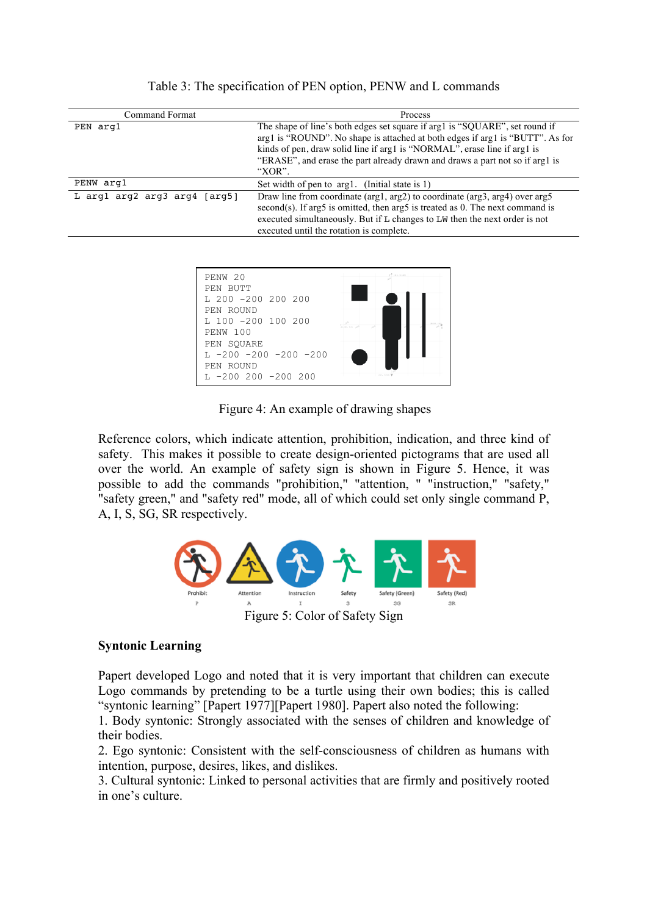| Command Format                 | Process                                                                                                                                                                                                                                                                                                                            |
|--------------------------------|------------------------------------------------------------------------------------------------------------------------------------------------------------------------------------------------------------------------------------------------------------------------------------------------------------------------------------|
| PEN arg1                       | The shape of line's both edges set square if arg1 is "SQUARE", set round if<br>arg1 is "ROUND". No shape is attached at both edges if arg1 is "BUTT". As for<br>kinds of pen, draw solid line if arg1 is "NORMAL", erase line if arg1 is<br>"ERASE", and erase the part already drawn and draws a part not so if arg1 is<br>"XOR". |
| PENW arg1                      | Set width of pen to arg1. (Initial state is 1)                                                                                                                                                                                                                                                                                     |
| L argl $arg2 arg3 arg4 [arg5]$ | Draw line from coordinate ( $arg1$ , $arg2$ ) to coordinate ( $arg3$ , $arg4$ ) over $arg5$<br>$second(s)$ . If arg5 is omitted, then arg5 is treated as 0. The next command is<br>executed simultaneously. But if L changes to LW then the next order is not<br>executed until the rotation is complete.                          |

Table 3: The specification of PEN option, PENW and L commands



Figure 4: An example of drawing shapes

Reference colors, which indicate attention, prohibition, indication, and three kind of safety. This makes it possible to create design-oriented pictograms that are used all over the world. An example of safety sign is shown in Figure 5. Hence, it was possible to add the commands "prohibition," "attention, " "instruction," "safety," "safety green," and "safety red" mode, all of which could set only single command P, A, I, S, SG, SR respectively.



# **Syntonic Learning**

Papert developed Logo and noted that it is very important that children can execute Logo commands by pretending to be a turtle using their own bodies; this is called "syntonic learning" [Papert 1977][Papert 1980]. Papert also noted the following:

1. Body syntonic: Strongly associated with the senses of children and knowledge of their bodies.

2. Ego syntonic: Consistent with the self-consciousness of children as humans with intention, purpose, desires, likes, and dislikes.

3. Cultural syntonic: Linked to personal activities that are firmly and positively rooted in one's culture.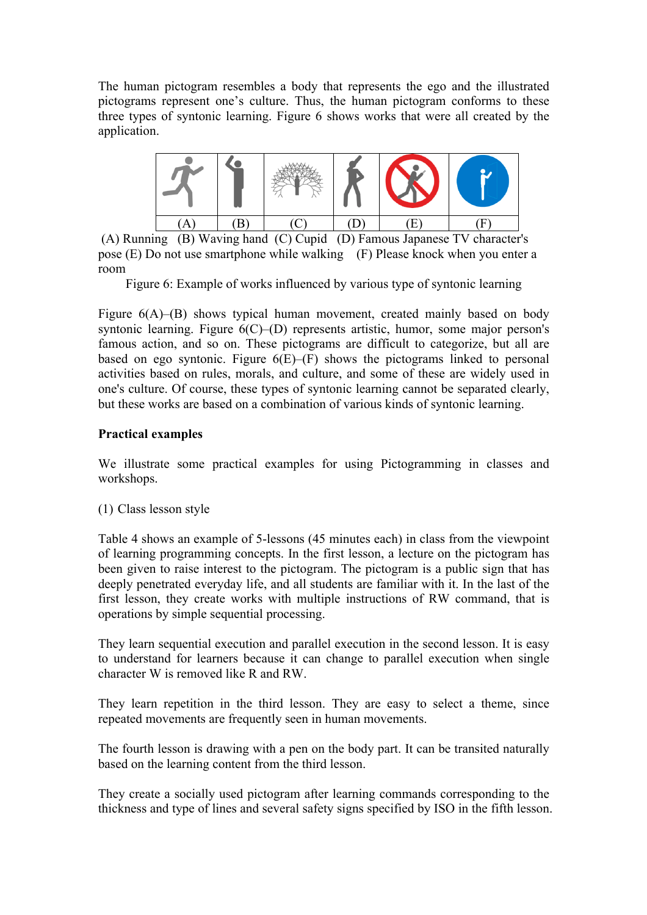The human pictogram resembles a body that represents the ego and the illustrated pictograms represent one's culture. Thus, the human pictogram conforms to these three types of syntonic learning. Figure 6 shows works that were all created by the application.



(A) Running (B) Waving hand (C) Cupid (D) Famous Japanese TV character's pose (E) Do not use smartphone while walking (F) Please knock when you enter a room

Figure 6: Example of works influenced by various type of syntonic learning

Figure  $6(A)$ –(B) shows typical human movement, created mainly based on body syntonic learning. Figure 6(C)–(D) represents artistic, humor, some major person's famous action, and so on. These pictograms are difficult to categorize, but all are based on ego syntonic. Figure  $6(E)$ – $(F)$  shows the pictograms linked to personal activities based on rules, morals, and culture, and some of these are widely used in one's culture. Of course, these types of syntonic learning cannot be separated clearly, but these works are based on a combination of various kinds of syntonic learning.

### **Practical examples**

We illustrate some practical examples for using Pictogramming in classes and workshops.

(1) Class lesson style

Table 4 shows an example of 5-lessons (45 minutes each) in class from the viewpoint of learning programming concepts. In the first lesson, a lecture on the pictogram has been given to raise interest to the pictogram. The pictogram is a public sign that has deeply penetrated everyday life, and all students are familiar with it. In the last of the first lesson, they create works with multiple instructions of RW command, that is operations by simple sequential processing.

They learn sequential execution and parallel execution in the second lesson. It is easy to understand for learners because it can change to parallel execution when single character W is removed like R and RW.

They learn repetition in the third lesson. They are easy to select a theme, since repeated movements are frequently seen in human movements.

The fourth lesson is drawing with a pen on the body part. It can be transited naturally based on the learning content from the third lesson.

They create a socially used pictogram after learning commands corresponding to the thickness and type of lines and several safety signs specified by ISO in the fifth lesson.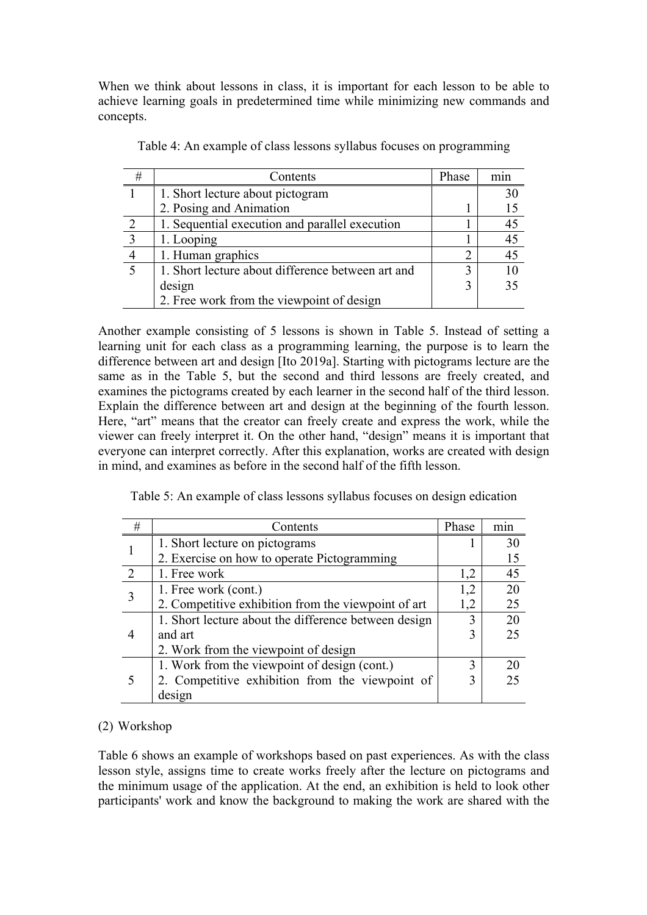When we think about lessons in class, it is important for each lesson to be able to achieve learning goals in predetermined time while minimizing new commands and concepts.

| #            | Contents                                          | Phase          |    |
|--------------|---------------------------------------------------|----------------|----|
|              | 1. Short lecture about pictogram                  |                | 30 |
|              | 2. Posing and Animation                           |                | 15 |
| 2            | 1. Sequential execution and parallel execution    |                | 45 |
| $\mathbf{r}$ | 1. Looping                                        |                | 45 |
|              | 1. Human graphics                                 | $\overline{2}$ | 45 |
|              | 1. Short lecture about difference between art and | 3              | 10 |
|              | design                                            | 3              | 35 |
|              | 2. Free work from the viewpoint of design         |                |    |

Table 4: An example of class lessons syllabus focuses on programming

Another example consisting of 5 lessons is shown in Table 5. Instead of setting a learning unit for each class as a programming learning, the purpose is to learn the difference between art and design [Ito 2019a]. Starting with pictograms lecture are the same as in the Table 5, but the second and third lessons are freely created, and examines the pictograms created by each learner in the second half of the third lesson. Explain the difference between art and design at the beginning of the fourth lesson. Here, "art" means that the creator can freely create and express the work, while the viewer can freely interpret it. On the other hand, "design" means it is important that everyone can interpret correctly. After this explanation, works are created with design in mind, and examines as before in the second half of the fifth lesson.

| Table 5: An example of class lessons syllabus focuses on design edication |  |
|---------------------------------------------------------------------------|--|
|                                                                           |  |

| # | Contents                                             | Phase | m <sub>1</sub> n |
|---|------------------------------------------------------|-------|------------------|
|   | 1. Short lecture on pictograms                       |       | 30               |
|   | 2. Exercise on how to operate Pictogramming          |       | 15               |
|   | 1. Free work                                         | 1,2   | 45               |
|   | 1. Free work (cont.)                                 | 1,2   | 20               |
|   | 2. Competitive exhibition from the viewpoint of art  | 1,2   | 25               |
|   | 1. Short lecture about the difference between design | 3     | 20               |
|   | and art                                              | 3     | 25               |
|   | 2. Work from the viewpoint of design                 |       |                  |
|   | 1. Work from the viewpoint of design (cont.)         | 3     | 20               |
|   | 2. Competitive exhibition from the viewpoint of      | 3     | 25               |
|   | design                                               |       |                  |

# (2) Workshop

Table 6 shows an example of workshops based on past experiences. As with the class lesson style, assigns time to create works freely after the lecture on pictograms and the minimum usage of the application. At the end, an exhibition is held to look other participants' work and know the background to making the work are shared with the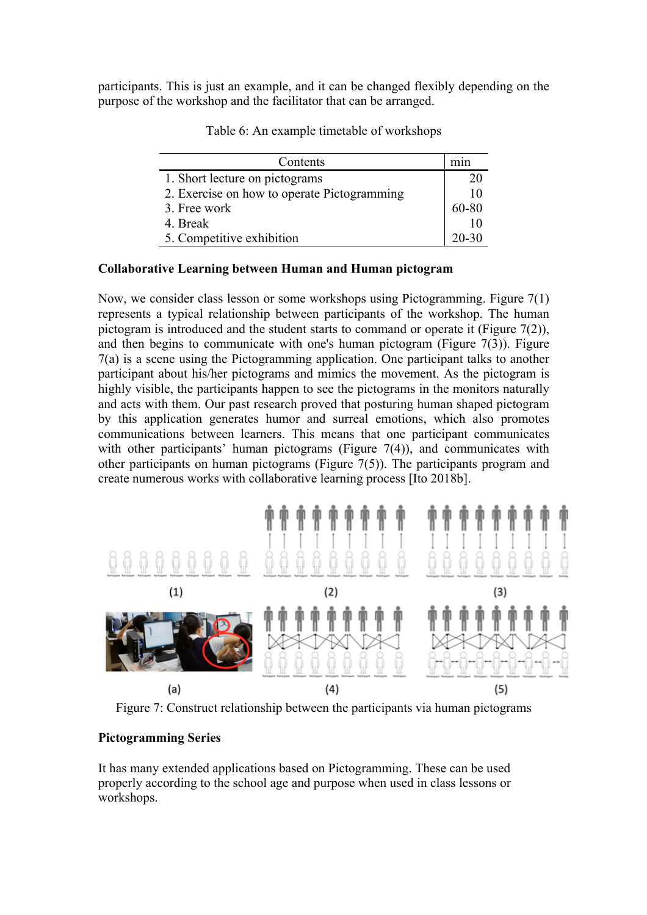participants. This is just an example, and it can be changed flexibly depending on the purpose of the workshop and the facilitator that can be arranged.

| Contents                                    | mın       |
|---------------------------------------------|-----------|
| 1. Short lecture on pictograms              | 20        |
| 2. Exercise on how to operate Pictogramming | 10        |
| 3. Free work                                | 60-80     |
| 4. Break                                    |           |
| 5. Competitive exhibition                   | $20 - 30$ |

Table 6: An example timetable of workshops

### **Collaborative Learning between Human and Human pictogram**

Now, we consider class lesson or some workshops using Pictogramming. Figure 7(1) represents a typical relationship between participants of the workshop. The human pictogram is introduced and the student starts to command or operate it (Figure 7(2)), and then begins to communicate with one's human pictogram (Figure  $7(3)$ ). Figure 7(a) is a scene using the Pictogramming application. One participant talks to another participant about his/her pictograms and mimics the movement. As the pictogram is highly visible, the participants happen to see the pictograms in the monitors naturally and acts with them. Our past research proved that posturing human shaped pictogram by this application generates humor and surreal emotions, which also promotes communications between learners. This means that one participant communicates with other participants' human pictograms (Figure 7(4)), and communicates with other participants on human pictograms (Figure 7(5)). The participants program and create numerous works with collaborative learning process [Ito 2018b].



Figure 7: Construct relationship between the participants via human pictograms

# **Pictogramming Series**

It has many extended applications based on Pictogramming. These can be used properly according to the school age and purpose when used in class lessons or workshops.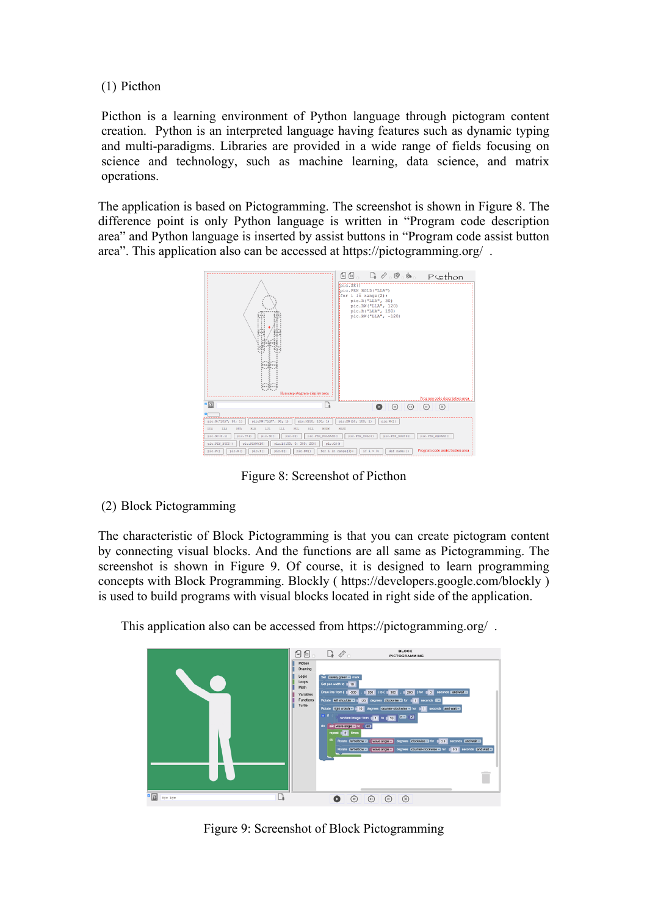(1) Picthon

Picthon is a learning environment of Python language through pictogram content creation. Python is an interpreted language having features such as dynamic typing and multi-paradigms. Libraries are provided in a wide range of fields focusing on science and technology, such as machine learning, data science, and matrix operations.

The application is based on Pictogramming. The screenshot is shown in Figure 8. The difference point is only Python language is written in "Program code description area" and Python language is inserted by assist buttons in "Program code assist button area". This application also can be accessed at https://pictogramming.org/ .



Figure 8: Screenshot of Picthon

(2) Block Pictogramming

The characteristic of Block Pictogramming is that you can create pictogram content by connecting visual blocks. And the functions are all same as Pictogramming. The screenshot is shown in Figure 9. Of course, it is designed to learn programming concepts with Block Programming. Blockly ( https://developers.google.com/blockly ) is used to build programs with visual blocks located in right side of the application.

This application also can be accessed from https://pictogramming.org/ .



Figure 9: Screenshot of Block Pictogramming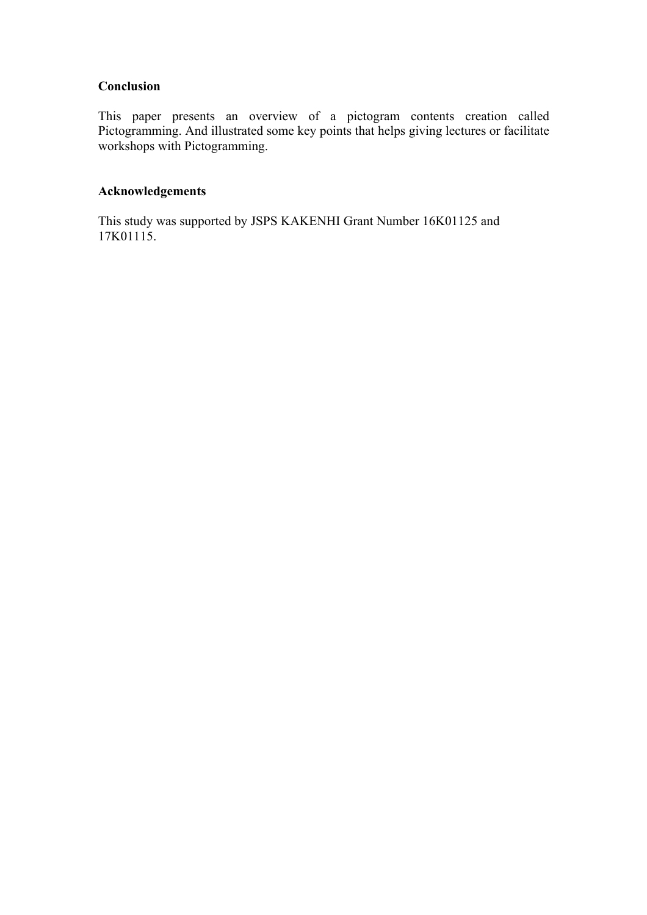# **Conclusion**

This paper presents an overview of a pictogram contents creation called Pictogramming. And illustrated some key points that helps giving lectures or facilitate workshops with Pictogramming.

# **Acknowledgements**

This study was supported by JSPS KAKENHI Grant Number 16K01125 and 17K01115.